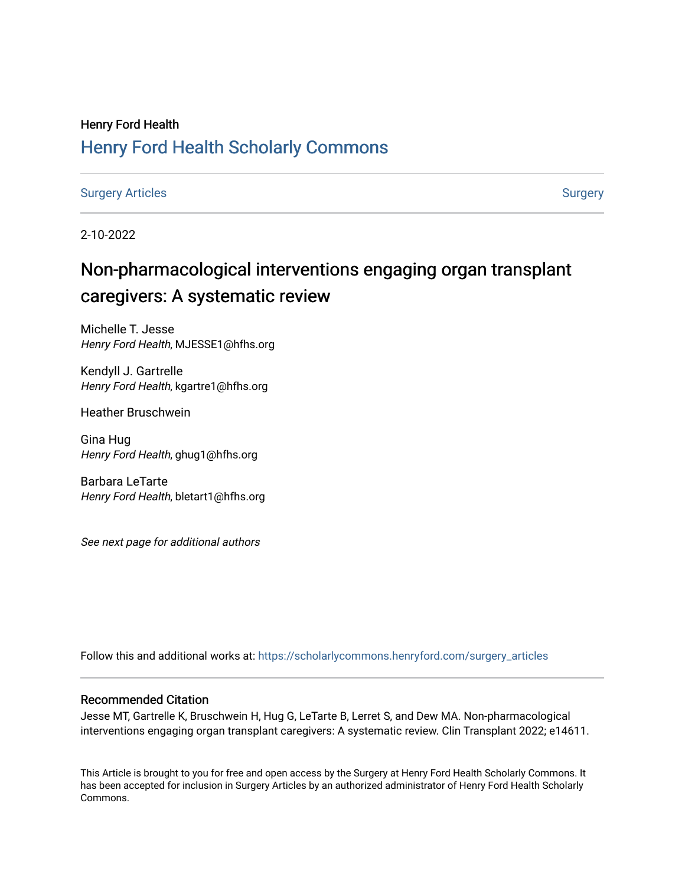# Henry Ford Health [Henry Ford Health Scholarly Commons](https://scholarlycommons.henryford.com/)

[Surgery Articles](https://scholarlycommons.henryford.com/surgery_articles) **[Surgery](https://scholarlycommons.henryford.com/surgery) Articles** Surgery

2-10-2022

# Non-pharmacological interventions engaging organ transplant caregivers: A systematic review

Michelle T. Jesse Henry Ford Health, MJESSE1@hfhs.org

Kendyll J. Gartrelle Henry Ford Health, kgartre1@hfhs.org

Heather Bruschwein

Gina Hug Henry Ford Health, ghug1@hfhs.org

Barbara LeTarte Henry Ford Health, bletart1@hfhs.org

See next page for additional authors

Follow this and additional works at: [https://scholarlycommons.henryford.com/surgery\\_articles](https://scholarlycommons.henryford.com/surgery_articles?utm_source=scholarlycommons.henryford.com%2Fsurgery_articles%2F564&utm_medium=PDF&utm_campaign=PDFCoverPages)

# Recommended Citation

Jesse MT, Gartrelle K, Bruschwein H, Hug G, LeTarte B, Lerret S, and Dew MA. Non-pharmacological interventions engaging organ transplant caregivers: A systematic review. Clin Transplant 2022; e14611.

This Article is brought to you for free and open access by the Surgery at Henry Ford Health Scholarly Commons. It has been accepted for inclusion in Surgery Articles by an authorized administrator of Henry Ford Health Scholarly Commons.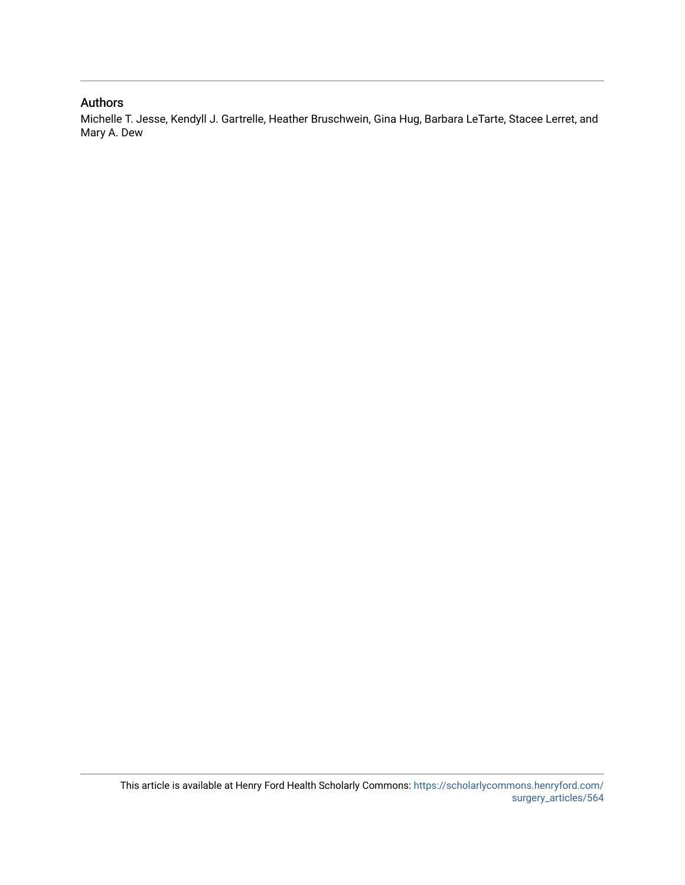# Authors

Michelle T. Jesse, Kendyll J. Gartrelle, Heather Bruschwein, Gina Hug, Barbara LeTarte, Stacee Lerret, and Mary A. Dew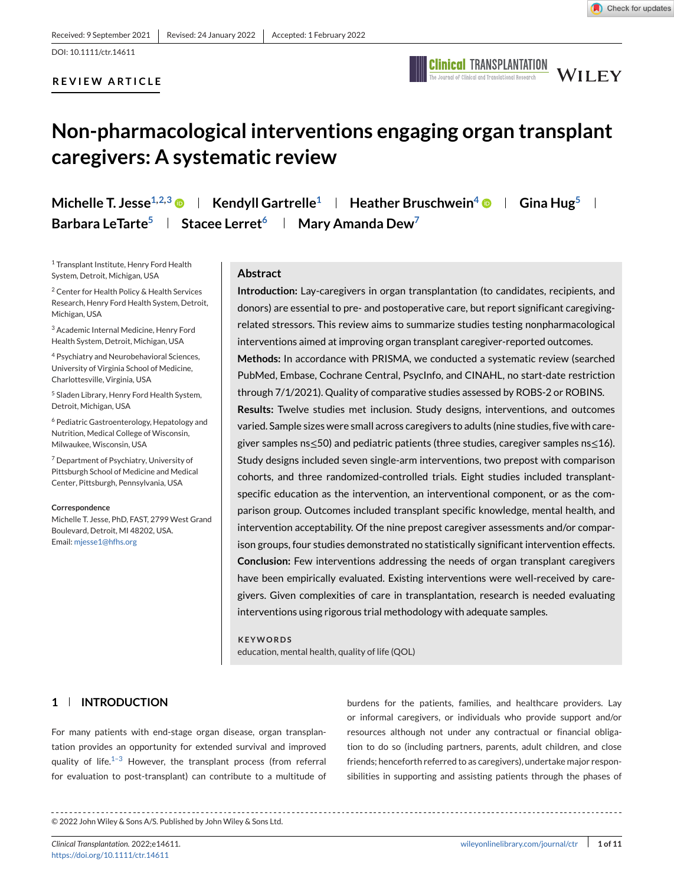# **REVIEW ARTICLE**



# **Non-pharmacological interventions engaging organ transplant caregivers: A systematic review**

**Michelle T. Jesse**<sup>1,2,3</sup>  $\bullet$  | **Kendyll Gartrelle<sup>1</sup> | Heather Bruschwein<sup>4</sup>**  $\bullet$  **| Gina Hug<sup>5</sup> | Barbara LeTarte<sup>5</sup> | Stacee Lerret<sup>6</sup> | Mary Amanda Dew<sup>7</sup>** 

<sup>1</sup> Transplant Institute, Henry Ford Health System, Detroit, Michigan, USA

<sup>2</sup> Center for Health Policy & Health Services Research, Henry Ford Health System, Detroit, Michigan, USA

<sup>3</sup> Academic Internal Medicine, Henry Ford Health System, Detroit, Michigan, USA

<sup>4</sup> Psychiatry and Neurobehavioral Sciences, University of Virginia School of Medicine, Charlottesville, Virginia, USA

<sup>5</sup> Sladen Library, Henry Ford Health System, Detroit, Michigan, USA

<sup>6</sup> Pediatric Gastroenterology, Hepatology and Nutrition, Medical College of Wisconsin, Milwaukee, Wisconsin, USA

<sup>7</sup> Department of Psychiatry, University of Pittsburgh School of Medicine and Medical Center, Pittsburgh, Pennsylvania, USA

#### **Correspondence**

Michelle T. Jesse, PhD, FAST, 2799 West Grand Boulevard, Detroit, MI 48202, USA. Email: [mjesse1@hfhs.org](mailto:mjesse1@hfhs.org)

#### **Abstract**

**Introduction:** Lay-caregivers in organ transplantation (to candidates, recipients, and donors) are essential to pre- and postoperative care, but report significant caregivingrelated stressors. This review aims to summarize studies testing nonpharmacological interventions aimed at improving organ transplant caregiver-reported outcomes.

**Methods:** In accordance with PRISMA, we conducted a systematic review (searched PubMed, Embase, Cochrane Central, PsycInfo, and CINAHL, no start-date restriction through 7/1/2021). Quality of comparative studies assessed by ROBS-2 or ROBINS.

**Results:** Twelve studies met inclusion. Study designs, interventions, and outcomes varied. Sample sizes were small across caregivers to adults (nine studies, five with caregiver samples ns≤50) and pediatric patients (three studies, caregiver samples ns≤16). Study designs included seven single-arm interventions, two prepost with comparison cohorts, and three randomized-controlled trials. Eight studies included transplantspecific education as the intervention, an interventional component, or as the comparison group. Outcomes included transplant specific knowledge, mental health, and intervention acceptability. Of the nine prepost caregiver assessments and/or comparison groups, four studies demonstrated no statistically significant intervention effects. **Conclusion:** Few interventions addressing the needs of organ transplant caregivers have been empirically evaluated. Existing interventions were well-received by caregivers. Given complexities of care in transplantation, research is needed evaluating interventions using rigorous trial methodology with adequate samples.

**KEYWORDS** education, mental health, quality of life (QOL)

# **1 INTRODUCTION**

For many patients with end-stage organ disease, organ transplantation provides an opportunity for extended survival and improved quality of life. $1-3$  However, the transplant process (from referral for evaluation to post-transplant) can contribute to a multitude of

burdens for the patients, families, and healthcare providers. Lay or informal caregivers, or individuals who provide support and/or resources although not under any contractual or financial obligation to do so (including partners, parents, adult children, and close friends; henceforth referred to as caregivers), undertake major responsibilities in supporting and assisting patients through the phases of

© 2022 John Wiley & Sons A/S. Published by John Wiley & Sons Ltd.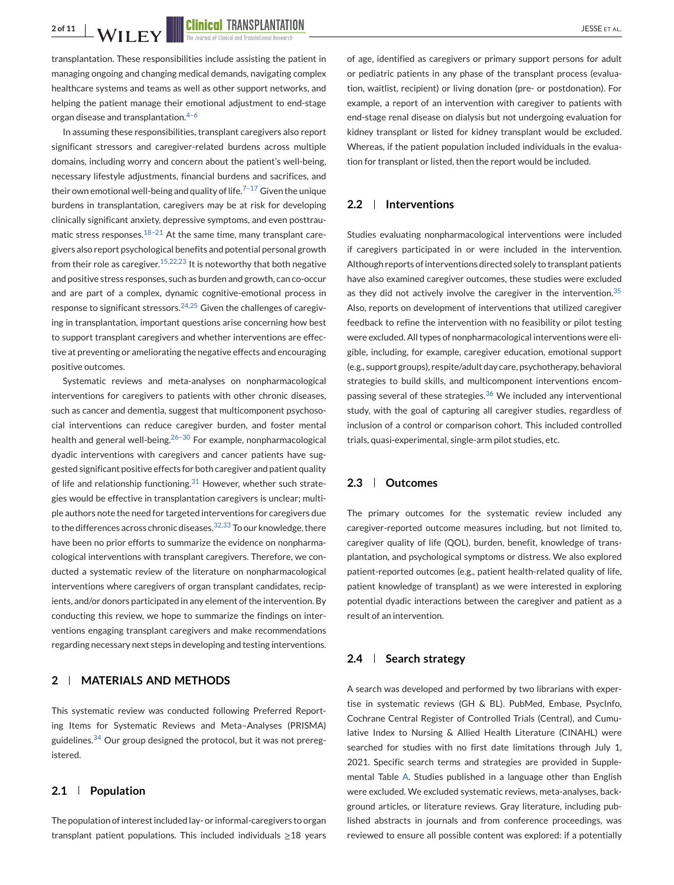transplantation. These responsibilities include assisting the patient in managing ongoing and changing medical demands, navigating complex healthcare systems and teams as well as other support networks, and helping the patient manage their emotional adjustment to end-stage organ disease and transplantation.<sup>4-6</sup>

In assuming these responsibilities, transplant caregivers also report significant stressors and caregiver-related burdens across multiple domains, including worry and concern about the patient's well-being, necessary lifestyle adjustments, financial burdens and sacrifices, and their own emotional well-being and quality of life.<sup>7-17</sup> Given the unique burdens in transplantation, caregivers may be at risk for developing clinically significant anxiety, depressive symptoms, and even posttraumatic stress responses. $18-21$  At the same time, many transplant caregivers also report psychological benefits and potential personal growth from their role as caregiver.  $15,22,23$  It is noteworthy that both negative and positive stress responses, such as burden and growth, can co-occur and are part of a complex, dynamic cognitive-emotional process in response to significant stressors. $24,25$  Given the challenges of caregiving in transplantation, important questions arise concerning how best to support transplant caregivers and whether interventions are effective at preventing or ameliorating the negative effects and encouraging positive outcomes.

Systematic reviews and meta-analyses on nonpharmacological interventions for caregivers to patients with other chronic diseases, such as cancer and dementia, suggest that multicomponent psychosocial interventions can reduce caregiver burden, and foster mental health and general well-being. $26-30$  For example, nonpharmacological dyadic interventions with caregivers and cancer patients have suggested significant positive effects for both caregiver and patient quality of life and relationship functioning.<sup>[31](#page-11-0)</sup> However, whether such strategies would be effective in transplantation caregivers is unclear; multiple authors note the need for targeted interventions for caregivers due to the differences across chronic diseases.  $32,33$  To our knowledge, there have been no prior efforts to summarize the evidence on nonpharmacological interventions with transplant caregivers. Therefore, we conducted a systematic review of the literature on nonpharmacological interventions where caregivers of organ transplant candidates, recipients, and/or donors participated in any element of the intervention. By conducting this review, we hope to summarize the findings on interventions engaging transplant caregivers and make recommendations regarding necessary next steps in developing and testing interventions.

# **2 MATERIALS AND METHODS**

This systematic review was conducted following Preferred Reporting Items for Systematic Reviews and Meta–Analyses (PRISMA) guidelines. $34$  Our group designed the protocol, but it was not preregistered.

#### **2.1 Population**

The population of interest included lay- or informal-caregivers to organ transplant patient populations. This included individuals  $\geq$ 18 years of age, identified as caregivers or primary support persons for adult or pediatric patients in any phase of the transplant process (evaluation, waitlist, recipient) or living donation (pre- or postdonation). For example, a report of an intervention with caregiver to patients with end-stage renal disease on dialysis but not undergoing evaluation for kidney transplant or listed for kidney transplant would be excluded. Whereas, if the patient population included individuals in the evaluation for transplant or listed, then the report would be included.

### **2.2 Interventions**

Studies evaluating nonpharmacological interventions were included if caregivers participated in or were included in the intervention. Although reports of interventions directed solely to transplant patients have also examined caregiver outcomes, these studies were excluded as they did not actively involve the caregiver in the intervention. $35$ Also, reports on development of interventions that utilized caregiver feedback to refine the intervention with no feasibility or pilot testing were excluded. All types of nonpharmacological interventions were eligible, including, for example, caregiver education, emotional support (e.g., support groups), respite/adult day care, psychotherapy, behavioral strategies to build skills, and multicomponent interventions encom-passing several of these strategies.<sup>[36](#page-11-0)</sup> We included any interventional study, with the goal of capturing all caregiver studies, regardless of inclusion of a control or comparison cohort. This included controlled trials, quasi-experimental, single-arm pilot studies, etc.

#### **2.3 Outcomes**

The primary outcomes for the systematic review included any caregiver-reported outcome measures including, but not limited to, caregiver quality of life (QOL), burden, benefit, knowledge of transplantation, and psychological symptoms or distress. We also explored patient-reported outcomes (e.g., patient health-related quality of life, patient knowledge of transplant) as we were interested in exploring potential dyadic interactions between the caregiver and patient as a result of an intervention.

#### **2.4 Search strategy**

A search was developed and performed by two librarians with expertise in systematic reviews (GH & BL). PubMed, Embase, PsycInfo, Cochrane Central Register of Controlled Trials (Central), and Cumulative Index to Nursing & Allied Health Literature (CINAHL) were searched for studies with no first date limitations through July 1, 2021. Specific search terms and strategies are provided in Supplemental Table A. Studies published in a language other than English were excluded. We excluded systematic reviews, meta-analyses, background articles, or literature reviews. Gray literature, including published abstracts in journals and from conference proceedings, was reviewed to ensure all possible content was explored: if a potentially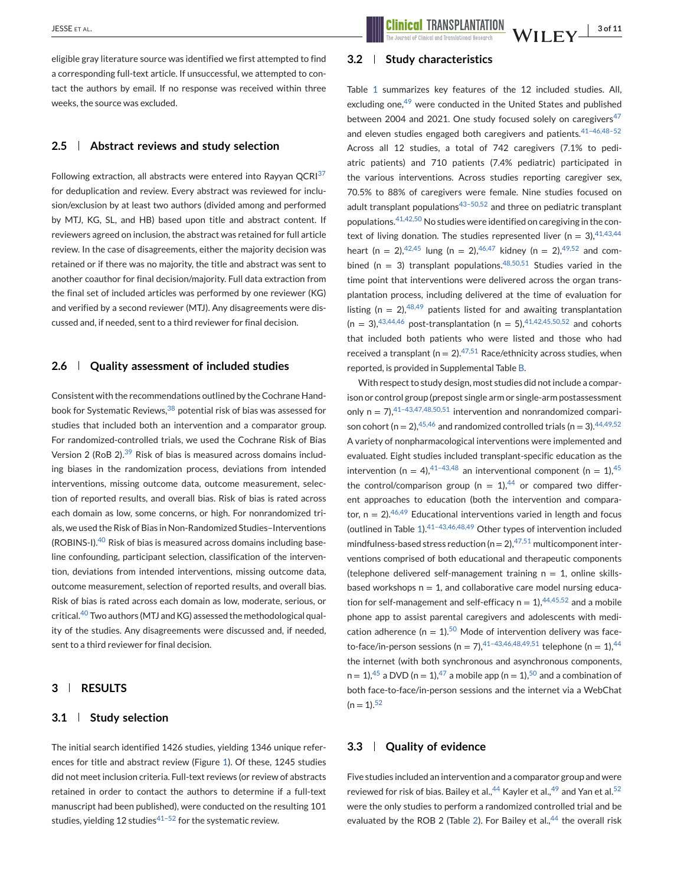eligible gray literature source was identified we first attempted to find a corresponding full-text article. If unsuccessful, we attempted to contact the authors by email. If no response was received within three weeks, the source was excluded.

#### **2.5 Abstract reviews and study selection**

Following extraction, all abstracts were entered into Rayyan QCRI $37$ for deduplication and review. Every abstract was reviewed for inclusion/exclusion by at least two authors (divided among and performed by MTJ, KG, SL, and HB) based upon title and abstract content. If reviewers agreed on inclusion, the abstract was retained for full article review. In the case of disagreements, either the majority decision was retained or if there was no majority, the title and abstract was sent to another coauthor for final decision/majority. Full data extraction from the final set of included articles was performed by one reviewer (KG) and verified by a second reviewer (MTJ). Any disagreements were discussed and, if needed, sent to a third reviewer for final decision.

### **2.6 Quality assessment of included studies**

Consistent with the recommendations outlined by the Cochrane Hand-book for Systematic Reviews, <sup>[38](#page-11-0)</sup> potential risk of bias was assessed for studies that included both an intervention and a comparator group. For randomized-controlled trials, we used the Cochrane Risk of Bias Version 2 (RoB 2).<sup>[39](#page-11-0)</sup> Risk of bias is measured across domains including biases in the randomization process, deviations from intended interventions, missing outcome data, outcome measurement, selection of reported results, and overall bias. Risk of bias is rated across each domain as low, some concerns, or high. For nonrandomized trials, we used the Risk of Bias in Non-Randomized Studies–Interventions  $(ROBINS-I).$ <sup>[40](#page-11-0)</sup> Risk of bias is measured across domains including baseline confounding, participant selection, classification of the intervention, deviations from intended interventions, missing outcome data, outcome measurement, selection of reported results, and overall bias. Risk of bias is rated across each domain as low, moderate, serious, or critical.[40](#page-11-0) Two authors (MTJ and KG) assessed the methodological quality of the studies. Any disagreements were discussed and, if needed, sent to a third reviewer for final decision.

### **3 RESULTS**

#### **3.1 Study selection**

The initial search identified 1426 studies, yielding 1346 unique references for title and abstract review (Figure [1\)](#page-5-0). Of these, 1245 studies did not meet inclusion criteria. Full-text reviews (or review of abstracts retained in order to contact the authors to determine if a full-text manuscript had been published), were conducted on the resulting 101 studies, yielding 12 studies $41-52$  for the systematic review.

#### **3.2 Study characteristics**

Table [1](#page-6-0) summarizes key features of the 12 included studies. All, excluding one,<sup>[49](#page-12-0)</sup> were conducted in the United States and published between 2004 and 2021. One study focused solely on caregivers $47$ and eleven studies engaged both caregivers and patients.<sup>41-46,48-52</sup> Across all 12 studies, a total of 742 caregivers (7.1% to pediatric patients) and 710 patients (7.4% pediatric) participated in the various interventions. Across studies reporting caregiver sex, 70.5% to 88% of caregivers were female. Nine studies focused on adult transplant populations $43-50,52$  and three on pediatric transplant populations.[41,42,50](#page-11-0) No studies were identified on caregiving in the context of living donation. The studies represented liver (n = 3),  $41,43,44$ heart (n = 2),<sup>[42,45](#page-11-0)</sup> lung (n = 2),<sup>[46,47](#page-12-0)</sup> kidney (n = 2),<sup>[49,52](#page-12-0)</sup> and com-bined (n = 3) transplant populations.<sup>[48,50,51](#page-12-0)</sup> Studies varied in the time point that interventions were delivered across the organ transplantation process, including delivered at the time of evaluation for listing  $(n = 2)$ , <sup>[48,49](#page-12-0)</sup> patients listed for and awaiting transplantation  $(n = 3)$ , 43, 44, 46 post-transplantation  $(n = 5)$ , 41, 42, 45, 50, 52 and cohorts that included both patients who were listed and those who had received a transplant ( $n = 2$ ).<sup>[47,51](#page-12-0)</sup> Race/ethnicity across studies, when reported, is provided in Supplemental Table B.

With respect to study design, most studies did not include a comparison or control group (prepost single arm or single-arm postassessment only  $n = 7$ ,  $41-43,47,48,50,51$  intervention and nonrandomized comparison cohort (n = 2),  $45,46$  and randomized controlled trials (n = 3),  $44,49,52$ A variety of nonpharmacological interventions were implemented and evaluated. Eight studies included transplant-specific education as the intervention (n = 4),<sup>41-43,48</sup> an interventional component (n = 1),<sup>[45](#page-12-0)</sup> the control/comparison group (n =  $1$ ),<sup>[44](#page-12-0)</sup> or compared two different approaches to education (both the intervention and comparator,  $n = 2$ ). <sup>[46,49](#page-12-0)</sup> Educational interventions varied in length and focus (outlined in Table [1\)](#page-6-0).[41–43,46,48,49](#page-11-0) Other types of intervention included mindfulness-based stress reduction ( $n = 2$ ),  $47,51$  multicomponent interventions comprised of both educational and therapeutic components (telephone delivered self-management training  $n = 1$ , online skillsbased workshops  $n = 1$ , and collaborative care model nursing education for self-management and self-efficacy  $n = 1$ ,  $44,45,52$  and a mobile phone app to assist parental caregivers and adolescents with medication adherence ( $n = 1$ ).<sup>[50](#page-12-0)</sup> Mode of intervention delivery was faceto-face/in-person sessions (n = 7),  $41-43,46,48,49,51$  telephone (n = 1),  $44$ the internet (with both synchronous and asynchronous components,  $n = 1$ , <sup>[45](#page-12-0)</sup> a DVD ( $n = 1$ ), <sup>[47](#page-12-0)</sup> a mobile app ( $n = 1$ ), <sup>[50](#page-12-0)</sup> and a combination of both face-to-face/in-person sessions and the internet via a WebChat  $(n = 1).52$  $(n = 1).52$ 

#### **3.3 Quality of evidence**

Five studies included an intervention and a comparator group and were reviewed for risk of bias. Bailey et al.,<sup>[44](#page-12-0)</sup> Kayler et al.,<sup>[49](#page-12-0)</sup> and Yan et al.<sup>[52](#page-12-0)</sup> were the only studies to perform a randomized controlled trial and be evaluated by the ROB 2 (Table [2\)](#page-9-0). For Bailey et al.,  $44$  the overall risk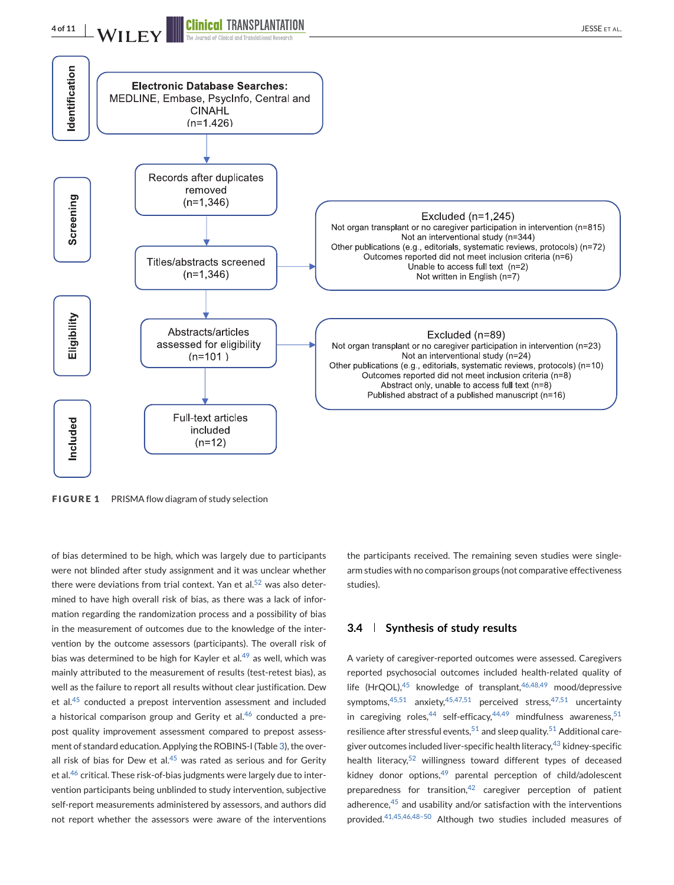# <span id="page-5-0"></span>**4 of 11 WILEY EXPORTED TRANSPLANTATION**



**FIGURE 1** PRISMA flow diagram of study selection

of bias determined to be high, which was largely due to participants were not blinded after study assignment and it was unclear whether there were deviations from trial context. Yan et al. $52$  was also determined to have high overall risk of bias, as there was a lack of information regarding the randomization process and a possibility of bias in the measurement of outcomes due to the knowledge of the intervention by the outcome assessors (participants). The overall risk of bias was determined to be high for Kayler et al. $49$  as well, which was mainly attributed to the measurement of results (test-retest bias), as well as the failure to report all results without clear justification. Dew et al.[45](#page-12-0) conducted a prepost intervention assessment and included a historical comparison group and Gerity et al. $46$  conducted a prepost quality improvement assessment compared to prepost assessment of standard education. Applying the ROBINS-I (Table [3\)](#page-9-0), the overall risk of bias for Dew et al. $45$  was rated as serious and for Gerity et al.<sup>[46](#page-12-0)</sup> critical. These risk-of-bias judgments were largely due to intervention participants being unblinded to study intervention, subjective self-report measurements administered by assessors, and authors did not report whether the assessors were aware of the interventions

the participants received. The remaining seven studies were singlearm studies with no comparison groups (not comparative effectiveness studies).

#### **3.4 Synthesis of study results**

A variety of caregiver-reported outcomes were assessed. Caregivers reported psychosocial outcomes included health-related quality of life (HrQOL), $45$  knowledge of transplant, $46,48,49$  mood/depressive symptoms, $45,51$  anxiety, $45,47,51$  perceived stress, $47,51$  uncertainty in caregiving roles,  $44$  self-efficacy,  $44,49$  mindfulness awareness,  $51$ resilience after stressful events,  $51$  and sleep quality.  $51$  Additional caregiver outcomes included liver-specific health literacy, $43$  kidney-specific health literacy, $52$  willingness toward different types of deceased kidney donor options, $49$  parental perception of child/adolescent preparedness for transition.<sup>[42](#page-11-0)</sup> caregiver perception of patient adherence, $45$  and usability and/or satisfaction with the interventions provided.[41,45,46,48–50](#page-11-0) Although two studies included measures of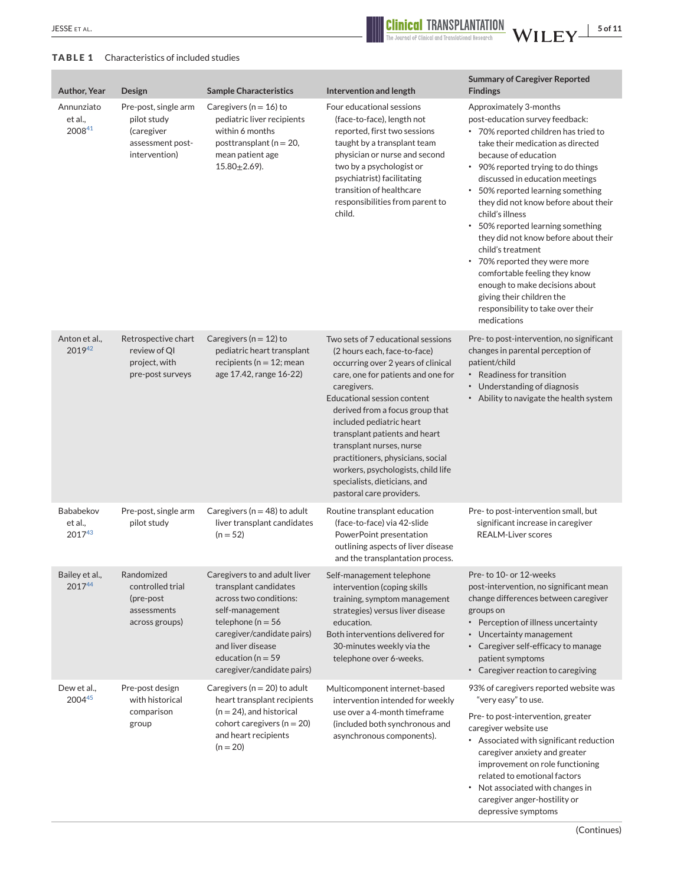<span id="page-6-0"></span>

# **TABLE 1** Characteristics of included studies

| <b>Author, Year</b>             | Design                                                                                 | <b>Sample Characteristics</b>                                                                                                                                                                                                        | Intervention and length                                                                                                                                                                                                                                                                                                                                                                                                                                                | <b>Summary of Caregiver Reported</b><br><b>Findings</b>                                                                                                                                                                                                                                                                                                                                                                                                                                                                                                                                                                      |
|---------------------------------|----------------------------------------------------------------------------------------|--------------------------------------------------------------------------------------------------------------------------------------------------------------------------------------------------------------------------------------|------------------------------------------------------------------------------------------------------------------------------------------------------------------------------------------------------------------------------------------------------------------------------------------------------------------------------------------------------------------------------------------------------------------------------------------------------------------------|------------------------------------------------------------------------------------------------------------------------------------------------------------------------------------------------------------------------------------------------------------------------------------------------------------------------------------------------------------------------------------------------------------------------------------------------------------------------------------------------------------------------------------------------------------------------------------------------------------------------------|
| Annunziato<br>et al.,<br>200841 | Pre-post, single arm<br>pilot study<br>(caregiver<br>assessment post-<br>intervention) | Caregivers ( $n = 16$ ) to<br>pediatric liver recipients<br>within 6 months<br>posttransplant ( $n = 20$ ,<br>mean patient age<br>$15.80 + 2.69$ ).                                                                                  | Four educational sessions<br>(face-to-face), length not<br>reported, first two sessions<br>taught by a transplant team<br>physician or nurse and second<br>two by a psychologist or<br>psychiatrist) facilitating<br>transition of healthcare<br>responsibilities from parent to<br>child.                                                                                                                                                                             | Approximately 3-months<br>post-education survey feedback:<br>• 70% reported children has tried to<br>take their medication as directed<br>because of education<br>• 90% reported trying to do things<br>discussed in education meetings<br>• 50% reported learning something<br>they did not know before about their<br>child's illness<br>50% reported learning something<br>they did not know before about their<br>child's treatment<br>• 70% reported they were more<br>comfortable feeling they know<br>enough to make decisions about<br>giving their children the<br>responsibility to take over their<br>medications |
| Anton et al.,<br>201942         | Retrospective chart<br>review of QI<br>project, with<br>pre-post surveys               | Caregivers ( $n = 12$ ) to<br>pediatric heart transplant<br>recipients ( $n = 12$ ; mean<br>age 17.42, range 16-22)                                                                                                                  | Two sets of 7 educational sessions<br>(2 hours each, face-to-face)<br>occurring over 2 years of clinical<br>care, one for patients and one for<br>caregivers.<br><b>Educational session content</b><br>derived from a focus group that<br>included pediatric heart<br>transplant patients and heart<br>transplant nurses, nurse<br>practitioners, physicians, social<br>workers, psychologists, child life<br>specialists, dieticians, and<br>pastoral care providers. | Pre- to post-intervention, no significant<br>changes in parental perception of<br>patient/child<br>• Readiness for transition<br>• Understanding of diagnosis<br>• Ability to navigate the health system                                                                                                                                                                                                                                                                                                                                                                                                                     |
| Bababekov<br>et al.,<br>201743  | Pre-post, single arm<br>pilot study                                                    | Caregivers ( $n = 48$ ) to adult<br>liver transplant candidates<br>$(n = 52)$                                                                                                                                                        | Routine transplant education<br>(face-to-face) via 42-slide<br>PowerPoint presentation<br>outlining aspects of liver disease<br>and the transplantation process.                                                                                                                                                                                                                                                                                                       | Pre- to post-intervention small, but<br>significant increase in caregiver<br><b>REALM-Liver scores</b>                                                                                                                                                                                                                                                                                                                                                                                                                                                                                                                       |
| Bailey et al.,<br>201744        | Randomized<br>controlled trial<br>(pre-post)<br>assessments<br>across groups)          | Caregivers to and adult liver<br>transplant candidates<br>across two conditions:<br>self-management<br>telephone ( $n = 56$<br>caregiver/candidate pairs)<br>and liver disease<br>education ( $n = 59$<br>caregiver/candidate pairs) | Self-management telephone<br>intervention (coping skills<br>training, symptom management<br>strategies) versus liver disease<br>education.<br>Both interventions delivered for<br>30-minutes weekly via the<br>telephone over 6-weeks.                                                                                                                                                                                                                                 | Pre- to 10- or 12-weeks<br>post-intervention, no significant mean<br>change differences between caregiver<br>groups on<br>• Perception of illness uncertainty<br>• Uncertainty management<br>• Caregiver self-efficacy to manage<br>patient symptoms<br>• Caregiver reaction to caregiving                                                                                                                                                                                                                                                                                                                                   |
| Dew et al.,<br>200445           | Pre-post design<br>with historical<br>comparison<br>group                              | Caregivers ( $n = 20$ ) to adult<br>heart transplant recipients<br>$(n = 24)$ , and historical<br>cohort caregivers ( $n = 20$ )<br>and heart recipients<br>$(n = 20)$                                                               | Multicomponent internet-based<br>intervention intended for weekly<br>use over a 4-month timeframe<br>(included both synchronous and<br>asynchronous components).                                                                                                                                                                                                                                                                                                       | 93% of caregivers reported website was<br>"very easy" to use.<br>Pre-to post-intervention, greater<br>caregiver website use<br>• Associated with significant reduction<br>caregiver anxiety and greater<br>improvement on role functioning<br>related to emotional factors<br>Not associated with changes in<br>caregiver anger-hostility or<br>depressive symptoms                                                                                                                                                                                                                                                          |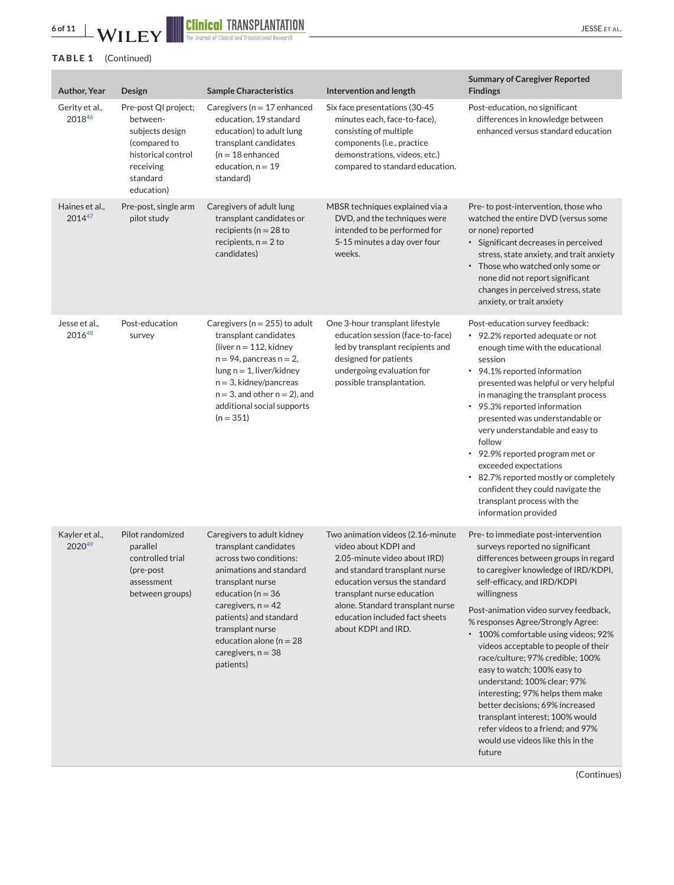

# **TABLE 1** (Continued)

| Author, Year             | Design                                                                                                                           | <b>Sample Characteristics</b>                                                                                                                                                                                                                                                                 | Intervention and length                                                                                                                                                                                                                                                                | <b>Summary of Caregiver Reported</b><br><b>Findings</b>                                                                                                                                                                                                                                                                                                                                                                                                                                                                                                                                                                                                           |
|--------------------------|----------------------------------------------------------------------------------------------------------------------------------|-----------------------------------------------------------------------------------------------------------------------------------------------------------------------------------------------------------------------------------------------------------------------------------------------|----------------------------------------------------------------------------------------------------------------------------------------------------------------------------------------------------------------------------------------------------------------------------------------|-------------------------------------------------------------------------------------------------------------------------------------------------------------------------------------------------------------------------------------------------------------------------------------------------------------------------------------------------------------------------------------------------------------------------------------------------------------------------------------------------------------------------------------------------------------------------------------------------------------------------------------------------------------------|
| Gerity et al.,<br>201846 | Pre-post QI project;<br>between-<br>subjects design<br>(compared to<br>historical control<br>receiving<br>standard<br>education) | Caregivers ( $n = 17$ enhanced<br>education, 19 standard<br>education) to adult lung<br>transplant candidates<br>$(n = 18$ enhanced<br>education, $n = 19$<br>standard)                                                                                                                       | Six face presentations (30-45<br>minutes each, face-to-face),<br>consisting of multiple<br>components (i.e., practice<br>demonstrations, videos, etc.)<br>compared to standard education.                                                                                              | Post-education, no significant<br>differences in knowledge between<br>enhanced versus standard education                                                                                                                                                                                                                                                                                                                                                                                                                                                                                                                                                          |
| Haines et al.,<br>201447 | Pre-post, single arm<br>pilot study                                                                                              | Caregivers of adult lung<br>transplant candidates or<br>recipients ( $n = 28$ to<br>recipients, $n = 2$ to<br>candidates)                                                                                                                                                                     | MBSR techniques explained via a<br>DVD, and the techniques were<br>intended to be performed for<br>5-15 minutes a day over four<br>weeks.                                                                                                                                              | Pre- to post-intervention, those who<br>watched the entire DVD (versus some<br>or none) reported<br>· Significant decreases in perceived<br>stress, state anxiety, and trait anxiety<br>• Those who watched only some or<br>none did not report significant<br>changes in perceived stress, state<br>anxiety, or trait anxiety                                                                                                                                                                                                                                                                                                                                    |
| Jesse et al.,<br>201648  | Post-education<br>survey                                                                                                         | Caregivers ( $n = 255$ ) to adult<br>transplant candidates<br>(liver $n = 112$ , kidney<br>$n = 94$ , pancreas $n = 2$ ,<br>$lung n = 1$ , liver/kidney<br>$n = 3$ , kidney/pancreas<br>$n = 3$ , and other $n = 2$ ), and<br>additional social supports<br>$(n = 351)$                       | One 3-hour transplant lifestyle<br>education session (face-to-face)<br>led by transplant recipients and<br>designed for patients<br>undergoing evaluation for<br>possible transplantation.                                                                                             | Post-education survey feedback:<br>• 92.2% reported adequate or not<br>enough time with the educational<br>session<br>• 94.1% reported information<br>presented was helpful or very helpful<br>in managing the transplant process<br>• 95.3% reported information<br>presented was understandable or<br>very understandable and easy to<br>follow<br>• 92.9% reported program met or<br>exceeded expectations<br>• 82.7% reported mostly or completely<br>confident they could navigate the<br>transplant process with the<br>information provided                                                                                                                |
| Kayler et al.,<br>202049 | Pilot randomized<br>parallel<br>controlled trial<br>(pre-post<br>assessment<br>between groups)                                   | Caregivers to adult kidney<br>transplant candidates<br>across two conditions:<br>animations and standard<br>transplant nurse<br>education ( $n = 36$<br>caregivers, $n = 42$<br>patients) and standard<br>transplant nurse<br>education alone ( $n = 28$<br>caregivers, $n = 38$<br>patients) | Two animation videos (2.16-minute<br>video about KDPI and<br>2.05-minute video about IRD)<br>and standard transplant nurse<br>education versus the standard<br>transplant nurse education<br>alone. Standard transplant nurse<br>education included fact sheets<br>about KDPI and IRD. | Pre- to immediate post-intervention<br>surveys reported no significant<br>differences between groups in regard<br>to caregiver knowledge of IRD/KDPI,<br>self-efficacy, and IRD/KDPI<br>willingness<br>Post-animation video survey feedback,<br>% responses Agree/Strongly Agree:<br>* 100% comfortable using videos; 92%<br>videos acceptable to people of their<br>race/culture; 97% credible; 100%<br>easy to watch; 100% easy to<br>understand; 100% clear; 97%<br>interesting; 97% helps them make<br>better decisions; 69% increased<br>transplant interest; 100% would<br>refer videos to a friend; and 97%<br>would use videos like this in the<br>future |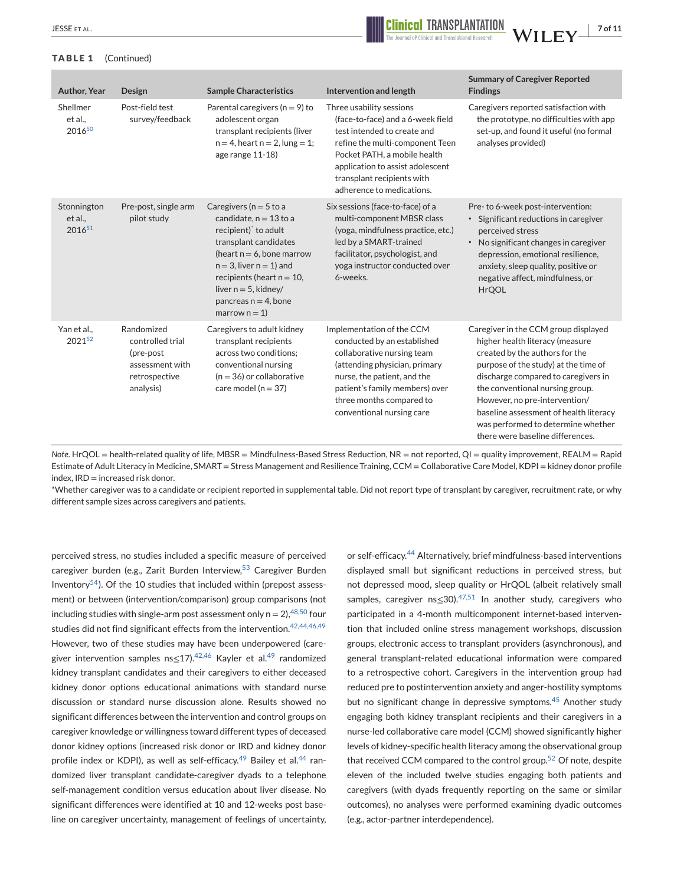

#### **TABLE 1** (Continued)

| Author, Year                            | Design                                                                                        | <b>Sample Characteristics</b>                                                                                                                                                                                                                                                    | Intervention and length                                                                                                                                                                                                                                        | <b>Summary of Caregiver Reported</b><br><b>Findings</b>                                                                                                                                                                                                                                                                                                                          |
|-----------------------------------------|-----------------------------------------------------------------------------------------------|----------------------------------------------------------------------------------------------------------------------------------------------------------------------------------------------------------------------------------------------------------------------------------|----------------------------------------------------------------------------------------------------------------------------------------------------------------------------------------------------------------------------------------------------------------|----------------------------------------------------------------------------------------------------------------------------------------------------------------------------------------------------------------------------------------------------------------------------------------------------------------------------------------------------------------------------------|
| Shellmer<br>et al<br>2016 <sup>50</sup> | Post-field test<br>survey/feedback                                                            | Parental caregivers ( $n = 9$ ) to<br>adolescent organ<br>transplant recipients (liver<br>$n = 4$ , heart $n = 2$ , lung = 1;<br>age range 11-18)                                                                                                                                | Three usability sessions<br>(face-to-face) and a 6-week field<br>test intended to create and<br>refine the multi-component Teen<br>Pocket PATH, a mobile health<br>application to assist adolescent<br>transplant recipients with<br>adherence to medications. | Caregivers reported satisfaction with<br>the prototype, no difficulties with app<br>set-up, and found it useful (no formal<br>analyses provided)                                                                                                                                                                                                                                 |
| Stonnington<br>et al.,<br>201651        | Pre-post, single arm<br>pilot study                                                           | Caregivers ( $n = 5$ to a<br>candidate, $n = 13$ to a<br>recipient) to adult<br>transplant candidates<br>(heart $n = 6$ , bone marrow<br>$n = 3$ , liver $n = 1$ ) and<br>recipients (heart $n = 10$ ,<br>liver $n = 5$ , kidney/<br>pancreas $n = 4$ , bone<br>marrow $n = 1$ ) | Six sessions (face-to-face) of a<br>multi-component MBSR class<br>(yoga, mindfulness practice, etc.)<br>led by a SMART-trained<br>facilitator, psychologist, and<br>yoga instructor conducted over<br>6-weeks.                                                 | Pre- to 6-week post-intervention:<br>• Significant reductions in caregiver<br>perceived stress<br>• No significant changes in caregiver<br>depression, emotional resilience,<br>anxiety, sleep quality, positive or<br>negative affect, mindfulness, or<br><b>HrQOL</b>                                                                                                          |
| Yan et al<br>202152                     | Randomized<br>controlled trial<br>(pre-post)<br>assessment with<br>retrospective<br>analysis) | Caregivers to adult kidney<br>transplant recipients<br>across two conditions;<br>conventional nursing<br>$(n = 36)$ or collaborative<br>care model ( $n = 37$ )                                                                                                                  | Implementation of the CCM<br>conducted by an established<br>collaborative nursing team<br>(attending physician, primary<br>nurse, the patient, and the<br>patient's family members) over<br>three months compared to<br>conventional nursing care              | Caregiver in the CCM group displayed<br>higher health literacy (measure<br>created by the authors for the<br>purpose of the study) at the time of<br>discharge compared to caregivers in<br>the conventional nursing group.<br>However, no pre-intervention/<br>baseline assessment of health literacy<br>was performed to determine whether<br>there were baseline differences. |

*Note*. HrQOL = health-related quality of life, MBSR = Mindfulness-Based Stress Reduction, NR = not reported, QI = quality improvement, REALM = Rapid Estimate of Adult Literacy in Medicine, SMART = Stress Management and Resilience Training, CCM = Collaborative Care Model, KDPI = kidney donor profile  $index$ ,  $IRD = increased risk donor$ .

\*Whether caregiver was to a candidate or recipient reported in supplemental table. Did not report type of transplant by caregiver, recruitment rate, or why different sample sizes across caregivers and patients.

perceived stress, no studies included a specific measure of perceived caregiver burden (e.g., Zarit Burden Interview,<sup>[53](#page-12-0)</sup> Caregiver Burden Inventory<sup>54</sup>). Of the 10 studies that included within (prepost assessment) or between (intervention/comparison) group comparisons (not including studies with single-arm post assessment only  $n = 2$ ),  $48,50$  four studies did not find significant effects from the intervention.<sup>[42,44,46,49](#page-11-0)</sup> However, two of these studies may have been underpowered (caregiver intervention samples ns 
subsection  $3.444$  Kayler et al.<sup>[49](#page-12-0)</sup> randomized kidney transplant candidates and their caregivers to either deceased kidney donor options educational animations with standard nurse discussion or standard nurse discussion alone. Results showed no significant differences between the intervention and control groups on caregiver knowledge or willingness toward different types of deceased donor kidney options (increased risk donor or IRD and kidney donor profile index or KDPI), as well as self-efficacy.<sup>[49](#page-12-0)</sup> Bailey et al.<sup>[44](#page-12-0)</sup> randomized liver transplant candidate-caregiver dyads to a telephone self-management condition versus education about liver disease. No significant differences were identified at 10 and 12-weeks post baseline on caregiver uncertainty, management of feelings of uncertainty, or self-efficacy.<sup>[44](#page-12-0)</sup> Alternatively, brief mindfulness-based interventions displayed small but significant reductions in perceived stress, but not depressed mood, sleep quality or HrQOL (albeit relatively small samples, caregiver  $ns \leq 30$ ).<sup>[47,51](#page-12-0)</sup> In another study, caregivers who participated in a 4-month multicomponent internet-based intervention that included online stress management workshops, discussion groups, electronic access to transplant providers (asynchronous), and general transplant-related educational information were compared to a retrospective cohort. Caregivers in the intervention group had reduced pre to postintervention anxiety and anger-hostility symptoms but no significant change in depressive symptoms.<sup>[45](#page-12-0)</sup> Another study engaging both kidney transplant recipients and their caregivers in a nurse-led collaborative care model (CCM) showed significantly higher levels of kidney-specific health literacy among the observational group that received CCM compared to the control group.<sup>[52](#page-12-0)</sup> Of note, despite eleven of the included twelve studies engaging both patients and caregivers (with dyads frequently reporting on the same or similar outcomes), no analyses were performed examining dyadic outcomes (e.g., actor-partner interdependence).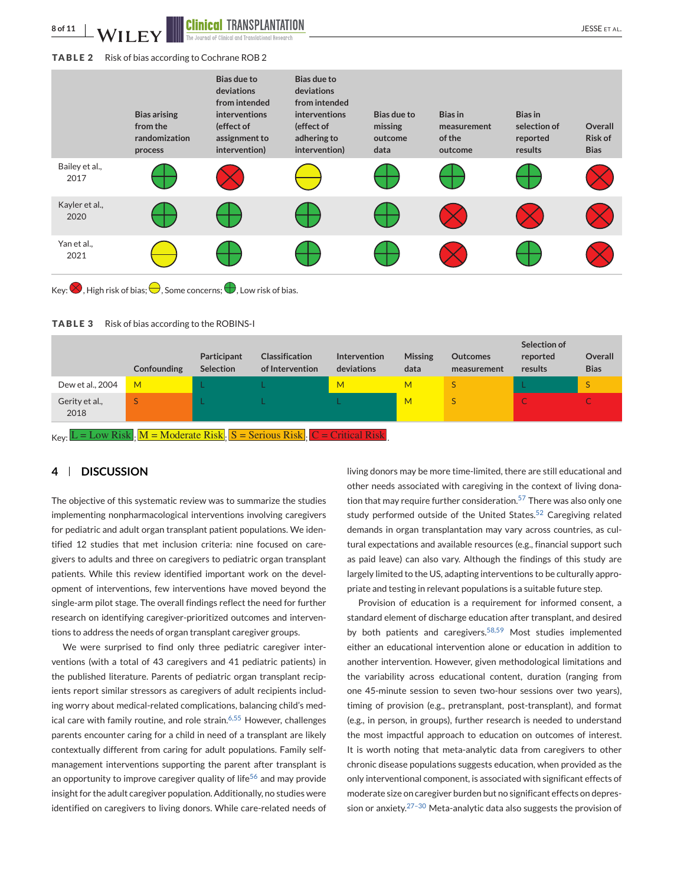<span id="page-9-0"></span>**8 of 11 JAILER SEPTAL CONTROLLER SET AL.** 

#### **TABLE 2** Risk of bias according to Cochrane ROB 2



**TABLE 3** Risk of bias according to the ROBINS-I

|                                                                                                                | Confounding | Participant<br><b>Selection</b> | <b>Classification</b><br>of Intervention | <b>Intervention</b><br>deviations | <b>Missing</b><br>data | <b>Outcomes</b><br>measurement | Selection of<br>reported<br>results | Overall<br><b>Bias</b> |
|----------------------------------------------------------------------------------------------------------------|-------------|---------------------------------|------------------------------------------|-----------------------------------|------------------------|--------------------------------|-------------------------------------|------------------------|
| Dew et al., 2004                                                                                               | M           |                                 |                                          | M                                 | м                      |                                |                                     | S                      |
| Gerity et al.,<br>2018                                                                                         |             |                                 |                                          |                                   | M                      |                                |                                     |                        |
| $_{\text{Kev}}$ L = Low Risk. $M = \text{Modern}$ Risk. $S = \text{Serious Risk}$ . $C = \text{Critical Risk}$ |             |                                 |                                          |                                   |                        |                                |                                     |                        |

# **4 DISCUSSION**

The objective of this systematic review was to summarize the studies implementing nonpharmacological interventions involving caregivers for pediatric and adult organ transplant patient populations. We identified 12 studies that met inclusion criteria: nine focused on caregivers to adults and three on caregivers to pediatric organ transplant patients. While this review identified important work on the development of interventions, few interventions have moved beyond the single-arm pilot stage. The overall findings reflect the need for further research on identifying caregiver-prioritized outcomes and interventions to address the needs of organ transplant caregiver groups.

We were surprised to find only three pediatric caregiver interventions (with a total of 43 caregivers and 41 pediatric patients) in the published literature. Parents of pediatric organ transplant recipients report similar stressors as caregivers of adult recipients including worry about medical-related complications, balancing child's med-ical care with family routine, and role strain.<sup>[6,55](#page-11-0)</sup> However, challenges parents encounter caring for a child in need of a transplant are likely contextually different from caring for adult populations. Family selfmanagement interventions supporting the parent after transplant is an opportunity to improve caregiver quality of life<sup>[56](#page-12-0)</sup> and may provide insight for the adult caregiver population. Additionally, no studies were identified on caregivers to living donors. While care-related needs of living donors may be more time-limited, there are still educational and other needs associated with caregiving in the context of living dona-tion that may require further consideration.<sup>[57](#page-12-0)</sup> There was also only one study performed outside of the United States. $52$  Caregiving related demands in organ transplantation may vary across countries, as cultural expectations and available resources (e.g., financial support such as paid leave) can also vary. Although the findings of this study are largely limited to the US, adapting interventions to be culturally appropriate and testing in relevant populations is a suitable future step.

Provision of education is a requirement for informed consent, a standard element of discharge education after transplant, and desired by both patients and caregivers.<sup>[58,59](#page-12-0)</sup> Most studies implemented either an educational intervention alone or education in addition to another intervention. However, given methodological limitations and the variability across educational content, duration (ranging from one 45-minute session to seven two-hour sessions over two years), timing of provision (e.g., pretransplant, post-transplant), and format (e.g., in person, in groups), further research is needed to understand the most impactful approach to education on outcomes of interest. It is worth noting that meta-analytic data from caregivers to other chronic disease populations suggests education, when provided as the only interventional component, is associated with significant effects of moderate size on caregiver burden but no significant effects on depression or anxiety. $27-30$  Meta-analytic data also suggests the provision of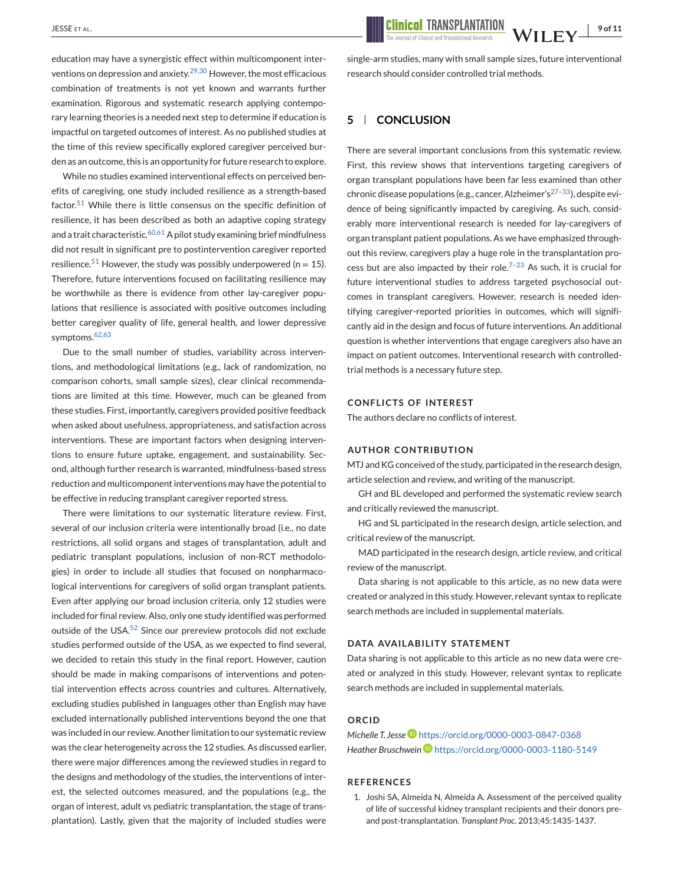education may have a synergistic effect within multicomponent inter-ventions on depression and anxiety.<sup>[29,30](#page-11-0)</sup> However, the most efficacious combination of treatments is not yet known and warrants further examination. Rigorous and systematic research applying contemporary learning theories is a needed next step to determine if education is impactful on targeted outcomes of interest. As no published studies at the time of this review specifically explored caregiver perceived burden as an outcome, this is an opportunity for future research to explore.

While no studies examined interventional effects on perceived benefits of caregiving, one study included resilience as a strength-based factor.<sup>[51](#page-12-0)</sup> While there is little consensus on the specific definition of resilience, it has been described as both an adaptive coping strategy and a trait characteristic.<sup>[60,61](#page-12-0)</sup> A pilot study examining brief mindfulness did not result in significant pre to postintervention caregiver reported resilience.<sup>[51](#page-12-0)</sup> However, the study was possibly underpowered (n = 15). Therefore, future interventions focused on facilitating resilience may be worthwhile as there is evidence from other lay-caregiver populations that resilience is associated with positive outcomes including better caregiver quality of life, general health, and lower depressive symptoms.[62,63](#page-12-0)

Due to the small number of studies, variability across interventions, and methodological limitations (e.g., lack of randomization, no comparison cohorts, small sample sizes), clear clinical recommendations are limited at this time. However, much can be gleaned from these studies. First, importantly, caregivers provided positive feedback when asked about usefulness, appropriateness, and satisfaction across interventions. These are important factors when designing interventions to ensure future uptake, engagement, and sustainability. Second, although further research is warranted, mindfulness-based stress reduction and multicomponent interventions may have the potential to be effective in reducing transplant caregiver reported stress.

There were limitations to our systematic literature review. First, several of our inclusion criteria were intentionally broad (i.e., no date restrictions, all solid organs and stages of transplantation, adult and pediatric transplant populations, inclusion of non-RCT methodologies) in order to include all studies that focused on nonpharmacological interventions for caregivers of solid organ transplant patients. Even after applying our broad inclusion criteria, only 12 studies were included for final review. Also, only one study identified was performed outside of the USA. $52$  Since our prereview protocols did not exclude studies performed outside of the USA, as we expected to find several, we decided to retain this study in the final report. However, caution should be made in making comparisons of interventions and potential intervention effects across countries and cultures. Alternatively, excluding studies published in languages other than English may have excluded internationally published interventions beyond the one that was included in our review. Another limitation to our systematic review was the clear heterogeneity across the 12 studies. As discussed earlier, there were major differences among the reviewed studies in regard to the designs and methodology of the studies, the interventions of interest, the selected outcomes measured, and the populations (e.g., the organ of interest, adult vs pediatric transplantation, the stage of transplantation). Lastly, given that the majority of included studies were

<span id="page-10-0"></span>JESSE ET AL. **19 of 11 Clinical TRANSPLANTATION WILEY** 

single-arm studies, many with small sample sizes, future interventional research should consider controlled trial methods.

# **5 CONCLUSION**

There are several important conclusions from this systematic review. First, this review shows that interventions targeting caregivers of organ transplant populations have been far less examined than other chronic disease populations (e.g., cancer, Alzheimer's<sup>27-33</sup>), despite evidence of being significantly impacted by caregiving. As such, considerably more interventional research is needed for lay-caregivers of organ transplant patient populations. As we have emphasized throughout this review, caregivers play a huge role in the transplantation process but are also impacted by their role.<sup> $7-23$ </sup> As such, it is crucial for future interventional studies to address targeted psychosocial outcomes in transplant caregivers. However, research is needed identifying caregiver-reported priorities in outcomes, which will significantly aid in the design and focus of future interventions. An additional question is whether interventions that engage caregivers also have an impact on patient outcomes. Interventional research with controlledtrial methods is a necessary future step.

#### **CONFLICTS OF INTEREST**

The authors declare no conflicts of interest.

#### **AUTHOR CONTRIBUTION**

MTJ and KG conceived of the study, participated in the research design, article selection and review, and writing of the manuscript.

GH and BL developed and performed the systematic review search and critically reviewed the manuscript.

HG and SL participated in the research design, article selection, and critical review of the manuscript.

MAD participated in the research design, article review, and critical review of the manuscript.

Data sharing is not applicable to this article, as no new data were created or analyzed in this study. However, relevant syntax to replicate search methods are included in supplemental materials.

#### **DATA AVAILABILITY STATEMENT**

Data sharing is not applicable to this article as no new data were created or analyzed in this study. However, relevant syntax to replicate search methods are included in supplemental materials.

### **ORCID**

# *Michelle T. Jesse* **b** <https://orcid.org/0000-0003-0847-0368> *Heather Bruschwein* <https://orcid.org/0000-0003-1180-5149>

### **REFERENCES**

1. Joshi SA, Almeida N, Almeida A. Assessment of the perceived quality of life of successful kidney transplant recipients and their donors preand post-transplantation. *Transplant Proc*. 2013;45:1435-1437.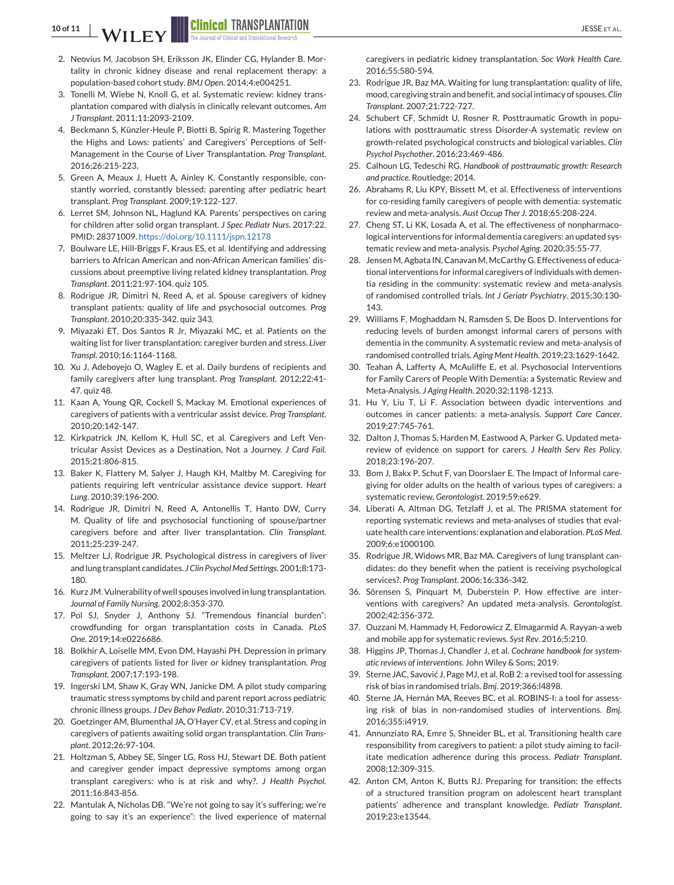<span id="page-11-0"></span>**10 of 11 J I I I I Clinical TRANSPLANTATION** 

- 2. Neovius M, Jacobson SH, Eriksson JK, Elinder CG, Hylander B. Mortality in chronic kidney disease and renal replacement therapy: a population-based cohort study. *BMJ Open*. 2014;4:e004251.
- 3. Tonelli M, Wiebe N, Knoll G, et al. Systematic review: kidney transplantation compared with dialysis in clinically relevant outcomes. *Am J Transplant*. 2011;11:2093-2109.
- 4. Beckmann S, Künzler-Heule P, Biotti B, Spirig R. Mastering Together the Highs and Lows: patients' and Caregivers' Perceptions of Self-Management in the Course of Liver Transplantation. *Prog Transplant*. 2016;26:215-223.
- 5. Green A, Meaux J, Huett A, Ainley K. Constantly responsible, constantly worried, constantly blessed: parenting after pediatric heart transplant. *Prog Transplant*. 2009;19:122-127.
- 6. Lerret SM, Johnson NL, Haglund KA. Parents' perspectives on caring for children after solid organ transplant. *J Spec Pediatr Nurs*. 2017:22. PMID: 28371009. <https://doi.org/10.1111/jspn.12178>
- 7. Boulware LE, Hill-Briggs F, Kraus ES, et al. Identifying and addressing barriers to African American and non-African American families' discussions about preemptive living related kidney transplantation. *Prog Transplant*. 2011;21:97-104. quiz 105.
- 8. Rodrigue JR, Dimitri N, Reed A, et al. Spouse caregivers of kidney transplant patients: quality of life and psychosocial outcomes. *Prog Transplant*. 2010;20:335-342. quiz 343.
- 9. Miyazaki ET, Dos Santos R Jr, Miyazaki MC, et al. Patients on the waiting list for liver transplantation: caregiver burden and stress. *Liver Transpl*. 2010;16:1164-1168.
- 10. Xu J, Adeboyejo O, Wagley E, et al. Daily burdens of recipients and family caregivers after lung transplant. *Prog Transplant*. 2012;22:41- 47. quiz 48.
- 11. Kaan A, Young QR, Cockell S, Mackay M. Emotional experiences of caregivers of patients with a ventricular assist device. *Prog Transplant*. 2010;20:142-147.
- 12. Kirkpatrick JN, Kellom K, Hull SC, et al. Caregivers and Left Ventricular Assist Devices as a Destination, Not a Journey. *J Card Fail*. 2015;21:806-815.
- 13. Baker K, Flattery M, Salyer J, Haugh KH, Maltby M. Caregiving for patients requiring left ventricular assistance device support. *Heart Lung*. 2010;39:196-200.
- 14. Rodrigue JR, Dimitri N, Reed A, Antonellis T, Hanto DW, Curry M. Quality of life and psychosocial functioning of spouse/partner caregivers before and after liver transplantation. *Clin Transplant*. 2011;25:239-247.
- 15. Meltzer LJ, Rodrigue JR. Psychological distress in caregivers of liver and lung transplant candidates. *J Clin Psychol Med Settings*. 2001;8:173- 180.
- 16. Kurz JM. Vulnerability of well spouses involved in lung transplantation. *Journal of Family Nursing*. 2002;8:353-370.
- 17. Pol SJ, Snyder J, Anthony SJ. "Tremendous financial burden": crowdfunding for organ transplantation costs in Canada. *PLoS One*. 2019;14:e0226686.
- 18. Bolkhir A, Loiselle MM, Evon DM, Hayashi PH. Depression in primary caregivers of patients listed for liver or kidney transplantation. *Prog Transplant*. 2007;17:193-198.
- 19. Ingerski LM, Shaw K, Gray WN, Janicke DM. A pilot study comparing traumatic stress symptoms by child and parent report across pediatric chronic illness groups. *J Dev Behav Pediatr*. 2010;31:713-719.
- 20. Goetzinger AM, Blumenthal JA, O'Hayer CV, et al. Stress and coping in caregivers of patients awaiting solid organ transplantation. *Clin Transplant*. 2012;26:97-104.
- 21. Holtzman S, Abbey SE, Singer LG, Ross HJ, Stewart DE. Both patient and caregiver gender impact depressive symptoms among organ transplant caregivers: who is at risk and why?. *J Health Psychol*. 2011;16:843-856.
- 22. Mantulak A, Nicholas DB. "We're not going to say it's suffering; we're going to say it's an experience": the lived experience of maternal

caregivers in pediatric kidney transplantation. *Soc Work Health Care*. 2016;55:580-594.

- 23. Rodrigue JR, Baz MA. Waiting for lung transplantation: quality of life, mood, caregiving strain and benefit, and social intimacy of spouses.*Clin Transplant*. 2007;21:722-727.
- 24. Schubert CF, Schmidt U, Rosner R. Posttraumatic Growth in populations with posttraumatic stress Disorder-A systematic review on growth-related psychological constructs and biological variables. *Clin Psychol Psychother*. 2016;23:469-486.
- 25. Calhoun LG, Tedeschi RG. *Handbook of posttraumatic growth: Research and practice*. Routledge; 2014.
- 26. Abrahams R, Liu KPY, Bissett M, et al. Effectiveness of interventions for co-residing family caregivers of people with dementia: systematic review and meta-analysis. *Aust Occup Ther J*. 2018;65:208-224.
- 27. Cheng ST, Li KK, Losada A, et al. The effectiveness of nonpharmacological interventions for informal dementia caregivers: an updated systematic review and meta-analysis. *Psychol Aging*. 2020;35:55-77.
- 28. Jensen M, Agbata IN, Canavan M, McCarthy G. Effectiveness of educational interventions for informal caregivers of individuals with dementia residing in the community: systematic review and meta-analysis of randomised controlled trials. *Int J Geriatr Psychiatry*. 2015;30:130- 143.
- 29. Williams F, Moghaddam N, Ramsden S, De Boos D. Interventions for reducing levels of burden amongst informal carers of persons with dementia in the community. A systematic review and meta-analysis of randomised controlled trials. *Aging Ment Health*. 2019;23:1629-1642.
- 30. Teahan Á, Lafferty A, McAuliffe E, et al. Psychosocial Interventions for Family Carers of People With Dementia: a Systematic Review and Meta-Analysis. *J Aging Health*. 2020;32:1198-1213.
- 31. Hu Y, Liu T, Li F. Association between dyadic interventions and outcomes in cancer patients: a meta-analysis. *Support Care Cancer*. 2019;27:745-761.
- 32. Dalton J, Thomas S, Harden M, Eastwood A, Parker G. Updated metareview of evidence on support for carers. *J Health Serv Res Policy*. 2018;23:196-207.
- 33. Bom J, Bakx P, Schut F, van Doorslaer E. The Impact of Informal caregiving for older adults on the health of various types of caregivers: a systematic review. *Gerontologist*. 2019;59:e629.
- 34. Liberati A, Altman DG, Tetzlaff J, et al. The PRISMA statement for reporting systematic reviews and meta-analyses of studies that evaluate health care interventions: explanation and elaboration. *PLoS Med*. 2009;6:e1000100.
- 35. Rodrigue JR, Widows MR, Baz MA. Caregivers of lung transplant candidates: do they benefit when the patient is receiving psychological services?. *Prog Transplant*. 2006;16:336-342.
- 36. Sörensen S, Pinquart M, Duberstein P. How effective are interventions with caregivers? An updated meta-analysis. *Gerontologist*. 2002;42:356-372.
- 37. Ouzzani M, Hammady H, Fedorowicz Z, Elmagarmid A. Rayyan-a web and mobile app for systematic reviews. *Syst Rev*. 2016;5:210.
- 38. Higgins JP, Thomas J, Chandler J, et al. *Cochrane handbook for systematic reviews of interventions*. John Wiley & Sons; 2019.
- 39. Sterne JAC, Savović J, Page MJ, et al. RoB 2: a revised tool for assessing risk of bias in randomised trials. *Bmj*. 2019;366:l4898.
- 40. Sterne JA, Hernán MA, Reeves BC, et al. ROBINS-I: a tool for assessing risk of bias in non-randomised studies of interventions. *Bmj*. 2016;355:i4919.
- 41. Annunziato RA, Emre S, Shneider BL, et al. Transitioning health care responsibility from caregivers to patient: a pilot study aiming to facilitate medication adherence during this process. *Pediatr Transplant*. 2008;12:309-315.
- 42. Anton CM, Anton K, Butts RJ. Preparing for transition: the effects of a structured transition program on adolescent heart transplant patients' adherence and transplant knowledge. *Pediatr Transplant*. 2019;23:e13544.